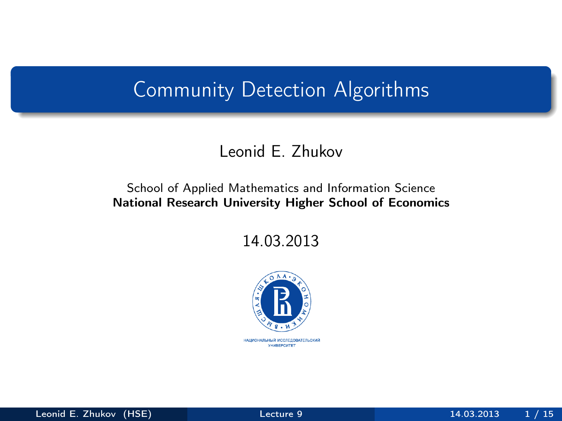# Community Detection Algorithms

### Leonid E. Zhukov

#### School of Applied Mathematics and Information Science National Research University Higher School of Economics

14.03.2013

<span id="page-0-0"></span>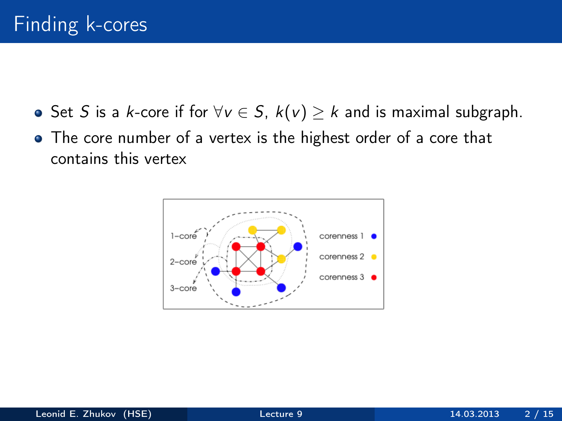- **•** Set S is a k-core if for  $\forall v \in S$ ,  $k(v) \geq k$  and is maximal subgraph.
- The core number of a vertex is the highest order of a core that contains this vertex

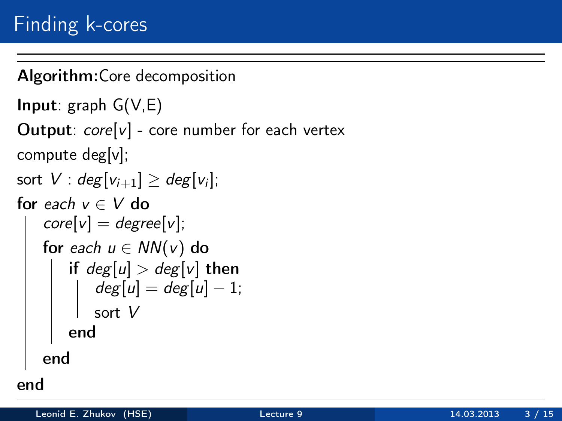```
Algorithm:Core decomposition
Input: graph G(V,E)Output: core[v] - core number for each vertex
compute deg[v];
sort V: deg[v_{i+1}] \geq deg[v_i];for each v \in V do
   core[v] = degree[v];
   for each u \in NN(v) do
       if deg[u] > deg[v] then
         deg[u] = deg[u] - 1;sort V
       end
   end
end
```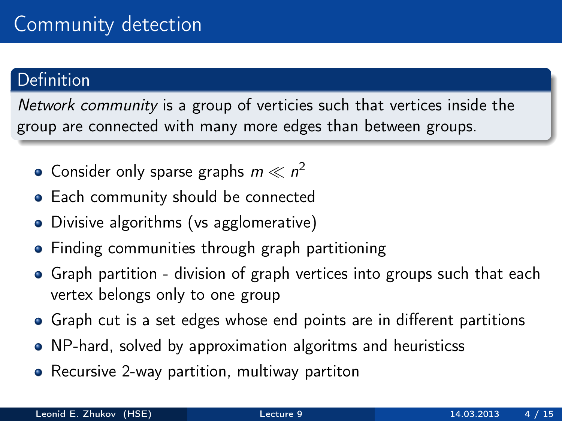## **Definition**

Network community is a group of verticies such that vertices inside the group are connected with many more edges than between groups.

- Consider only sparse graphs  $m \ll n^2$
- Each community should be connected
- Divisive algorithms (vs agglomerative)
- Finding communities through graph partitioning
- Graph partition division of graph vertices into groups such that each vertex belongs only to one group
- Graph cut is a set edges whose end points are in different partitions
- NP-hard, solved by approximation algoritms and heuristicss
- Recursive 2-way partition, multiway partiton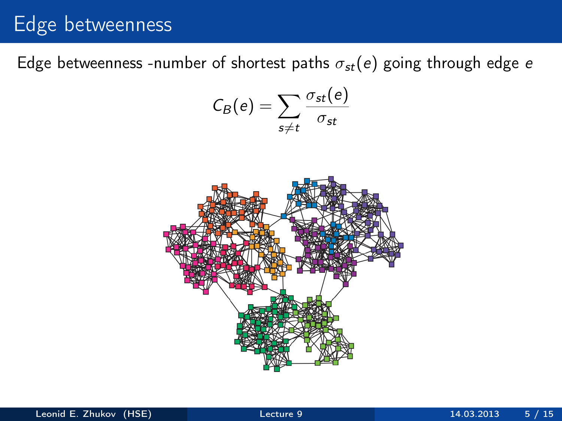# Edge betweenness

Edge betweenness -number of shortest paths  $\sigma_{st}(e)$  going through edge e

$$
C_B(e) = \sum_{s \neq t} \frac{\sigma_{st}(e)}{\sigma_{st}}
$$

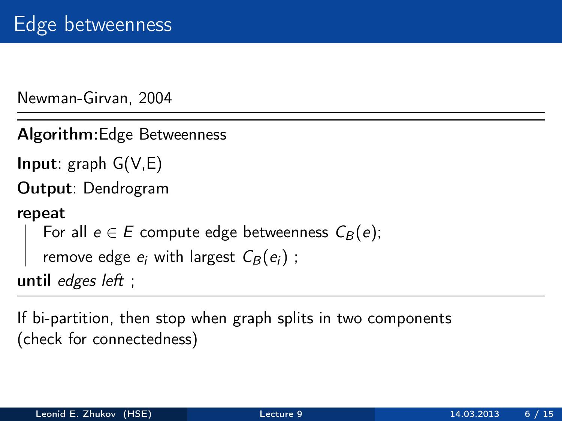Newman-Girvan, 2004

Algorithm:Edge Betweenness

**Input:** graph  $G(V,E)$ 

Output: Dendrogram

#### repeat

```
For all e \in E compute edge betweenness \mathcal{C}_{B} (e);
```

```
remove edge e_i with largest \mathcal{C}_B(e_i) ;
```
until edges left ;

If bi-partition, then stop when graph splits in two components (check for connectedness)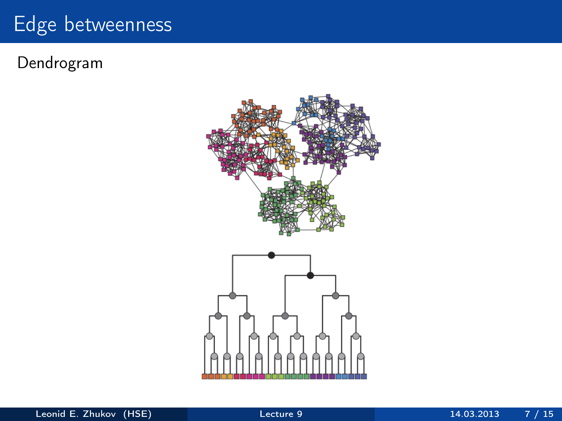# Edge betweenness

### Dendrogram

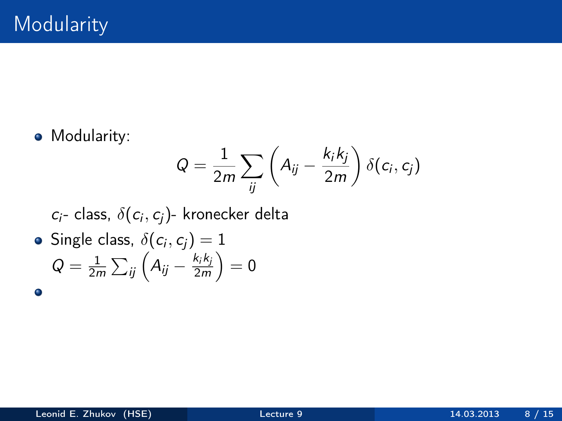**•** Modularity:

$$
Q = \frac{1}{2m} \sum_{ij} \left( A_{ij} - \frac{k_i k_j}{2m} \right) \delta(c_i, c_j)
$$

 $c_i$ - class,  $\delta(c_i,c_j)$ - kronecker delta

Single class,  $\delta(c_i,c_j)=1$  $Q=\frac{1}{2r}$  $\frac{1}{2m}\sum_{ij}\Big(A_{ij}-\frac{k_ik_j}{2m}\Big)$  $rac{k_i k_j}{2m}$   $= 0$ 

 $\bullet$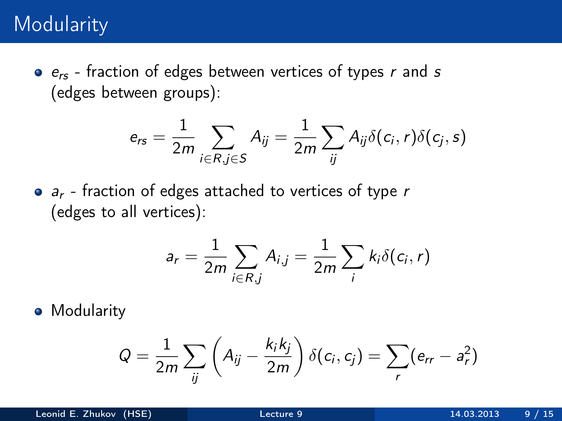## **Modularity**

 $e_{rs}$  - fraction of edges between vertices of types r and s (edges between groups):

$$
e_{rs} = \frac{1}{2m} \sum_{i \in R, j \in S} A_{ij} = \frac{1}{2m} \sum_{ij} A_{ij} \delta(c_i, r) \delta(c_j, s)
$$

 $\bullet$   $a_r$  - fraction of edges attached to vertices of type r (edges to all vertices):

$$
a_r = \frac{1}{2m} \sum_{i \in R, j} A_{i,j} = \frac{1}{2m} \sum_i k_i \delta(c_i, r)
$$

**•** Modularity

$$
Q = \frac{1}{2m} \sum_{ij} \left( A_{ij} - \frac{k_i k_j}{2m} \right) \delta(c_i, c_j) = \sum_r (e_{rr} - a_r^2)
$$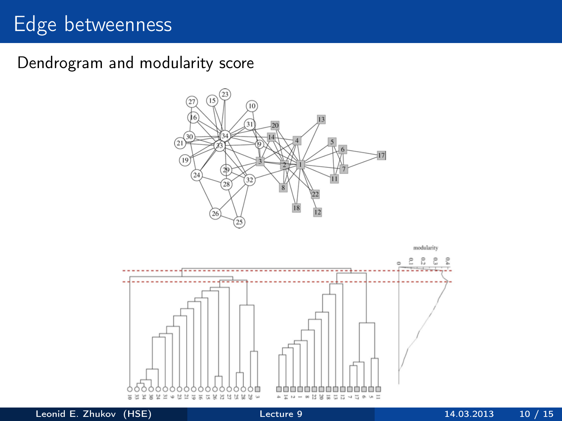# Edge betweenness

Dendrogram and modularity score



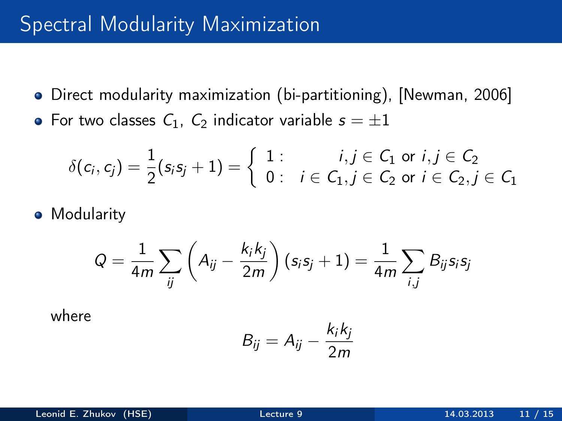# Spectral Modularity Maximization

- Direct modularity maximization (bi-partitioning), [Newman, 2006]
- For two classes  $C_1$ ,  $C_2$  indicator variable  $s = \pm 1$

$$
\delta(c_i,c_j) = \frac{1}{2}(s_is_j + 1) = \left\{\begin{array}{ll}1: & i,j \in C_1 \text{ or } i,j \in C_2 \\0: & i \in C_1, j \in C_2 \text{ or } i \in C_2, j \in C_1\end{array}\right.
$$

**•** Modularity

$$
Q = \frac{1}{4m} \sum_{ij} \left( A_{ij} - \frac{k_i k_j}{2m} \right) (s_i s_j + 1) = \frac{1}{4m} \sum_{i,j} B_{ij} s_i s_j
$$

where

$$
B_{ij} = A_{ij} - \frac{k_i k_j}{2m}
$$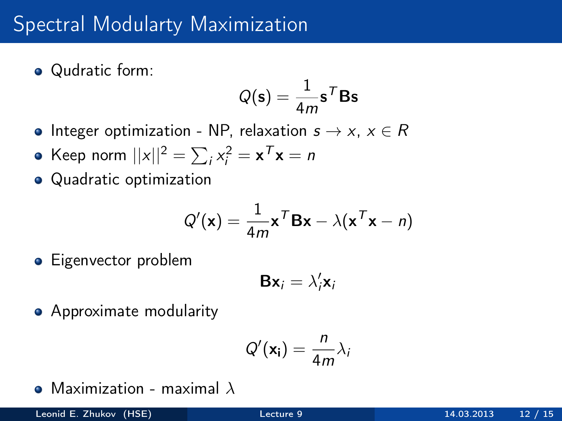# Spectral Modularty Maximization

• Qudratic form:

$$
Q(\mathbf{s}) = \frac{1}{4m}\mathbf{s}^T \mathbf{B} \mathbf{s}
$$

- Integer optimization NP, relaxation  $s \to x$ ,  $x \in R$
- Keep norm  $||x||^2 = \sum_i x_i^2 = \mathbf{x}^\mathsf{T} \mathbf{x} = n$
- Quadratic optimization

$$
Q'(\mathbf{x}) = \frac{1}{4m}\mathbf{x}^T\mathbf{B}\mathbf{x} - \lambda(\mathbf{x}^T\mathbf{x} - n)
$$

**•** Eigenvector problem

$$
\mathbf{B}\mathbf{x}_i = \lambda_i'\mathbf{x}_i
$$

**•** Approximate modularity

$$
Q'(\mathbf{x_i}) = \frac{n}{4m}\lambda_i
$$

• Maximization - maximal  $\lambda$ 

 $\overline{a}$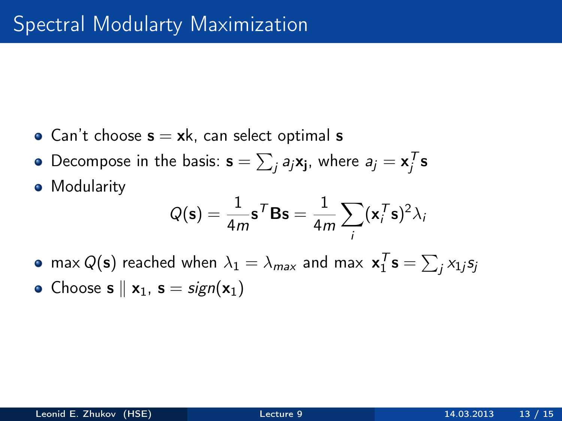- Can't choose  $s = xk$ , can select optimal s
- Decompose in the basis:  $\mathbf{s} = \sum_j a_j \mathbf{x_j}$ , where  $a_j = \mathbf{x}_j^T \mathbf{s}$
- **•** Modularity

$$
Q(\mathbf{s}) = \frac{1}{4m} \mathbf{s}^T \mathbf{B} \mathbf{s} = \frac{1}{4m} \sum_i (\mathbf{x}_i^T \mathbf{s})^2 \lambda_i
$$

- max  $Q(\mathbf{s})$  reached when  $\lambda_1 = \lambda_{\textit{max}}$  and max  $\mathbf{x}_1^T\mathbf{s} = \sum_j x_{1j} s_j$
- Choose  $s \parallel x_1$ ,  $s = sign(x_1)$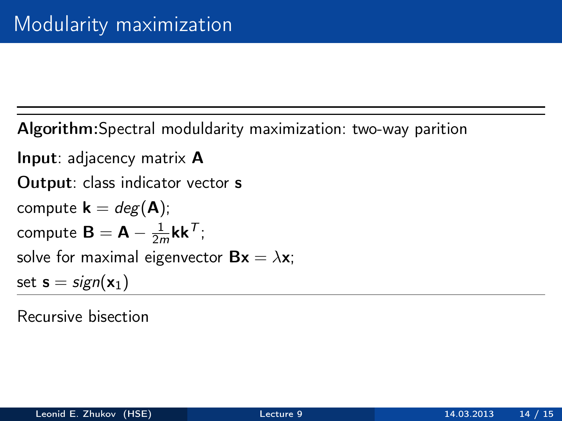Algorithm:Spectral moduldarity maximization: two-way parition

Input: adjacency matrix A Output: class indicator vector s compute  $\mathbf{k} = deg(\mathbf{A});$ compute  $\mathbf{B} = \mathbf{A} - \frac{1}{2r}$  $\frac{1}{2m}$ kk $^{\mathcal{T}}$ ; solve for maximal eigenvector  $Bx = \lambda x$ ; set  $s = sign(x_1)$ 

Recursive bisection